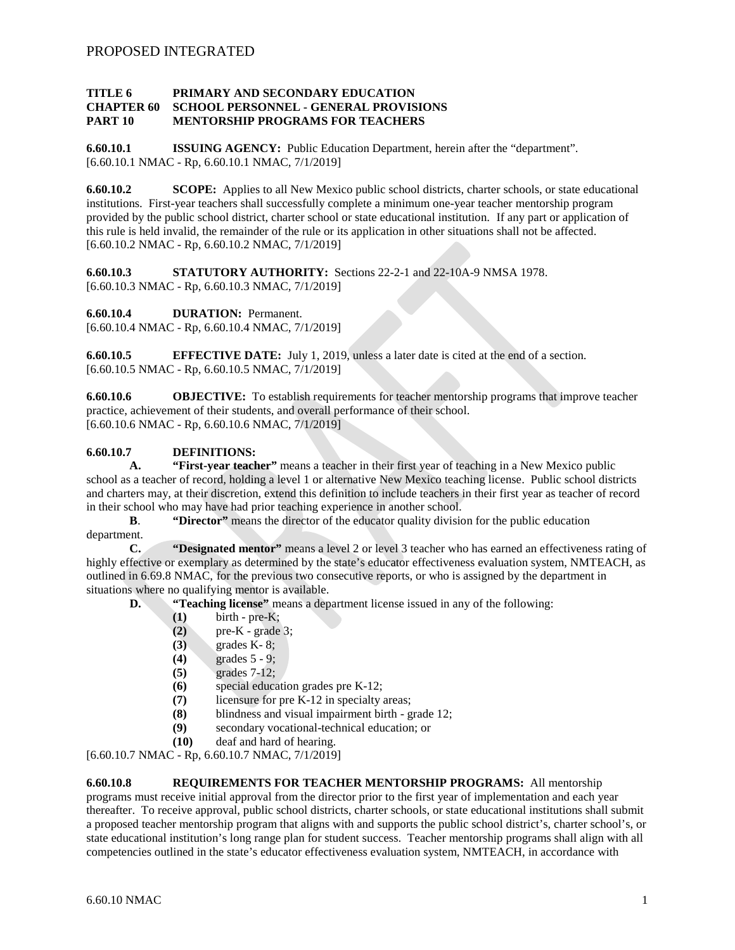#### **TITLE 6 PRIMARY AND SECONDARY EDUCATION CHAPTER 60 SCHOOL PERSONNEL - GENERAL PROVISIONS PART 10 MENTORSHIP PROGRAMS FOR TEACHERS**

**6.60.10.1 ISSUING AGENCY:** Public Education Department, herein after the "department". [6.60.10.1 NMAC - Rp, 6.60.10.1 NMAC, 7/1/2019]

**6.60.10.2 SCOPE:** Applies to all New Mexico public school districts, charter schools, or state educational institutions. First-year teachers shall successfully complete a minimum one-year teacher mentorship program provided by the public school district, charter school or state educational institution. If any part or application of this rule is held invalid, the remainder of the rule or its application in other situations shall not be affected. [6.60.10.2 NMAC - Rp, 6.60.10.2 NMAC, 7/1/2019]

**6.60.10.3 STATUTORY AUTHORITY:** Sections 22-2-1 and 22-10A-9 NMSA 1978. [6.60.10.3 NMAC - Rp, 6.60.10.3 NMAC, 7/1/2019]

**6.60.10.4 DURATION:** Permanent.

[6.60.10.4 NMAC - Rp, 6.60.10.4 NMAC, 7/1/2019]

**6.60.10.5 EFFECTIVE DATE:** July 1, 2019, unless a later date is cited at the end of a section. [6.60.10.5 NMAC - Rp, 6.60.10.5 NMAC, 7/1/2019]

**6.60.10.6 OBJECTIVE:** To establish requirements for teacher mentorship programs that improve teacher practice, achievement of their students, and overall performance of their school. [6.60.10.6 NMAC - Rp, 6.60.10.6 NMAC, 7/1/2019]

## **6.60.10.7 DEFINITIONS:**

**A. "First-year teacher"** means a teacher in their first year of teaching in a New Mexico public school as a teacher of record, holding a level 1 or alternative New Mexico teaching license. Public school districts and charters may, at their discretion, extend this definition to include teachers in their first year as teacher of record in their school who may have had prior teaching experience in another school.<br> **B.** "Director" means the director of the educator quality division

"Director" means the director of the educator quality division for the public education department.

**C. "Designated mentor"** means a level 2 or level 3 teacher who has earned an effectiveness rating of highly effective or exemplary as determined by the state's educator effectiveness evaluation system, NMTEACH, as outlined in 6.69.8 NMAC, for the previous two consecutive reports, or who is assigned by the department in situations where no qualifying mentor is available.

- **D. "Teaching license"** means a department license issued in any of the following:
	- **(1)** birth pre-K;
	- **(2)** pre-K grade 3;
	- **(3)** grades K- 8;
	- **(4)** grades 5 9;
	- **(5)** grades 7-12;
	- **(6)** special education grades pre K-12;
	- **(7)** licensure for pre K-12 in specialty areas;
	- **(8)** blindness and visual impairment birth grade 12;<br>**(9)** secondary vocational-technical education; or
	- secondary vocational-technical education; or
	- **(10)** deaf and hard of hearing.

[6.60.10.7 NMAC - Rp, 6.60.10.7 NMAC, 7/1/2019]

## **6.60.10.8 REQUIREMENTS FOR TEACHER MENTORSHIP PROGRAMS:** All mentorship

programs must receive initial approval from the director prior to the first year of implementation and each year thereafter. To receive approval, public school districts, charter schools, or state educational institutions shall submit a proposed teacher mentorship program that aligns with and supports the public school district's, charter school's, or state educational institution's long range plan for student success. Teacher mentorship programs shall align with all competencies outlined in the state's educator effectiveness evaluation system, NMTEACH, in accordance with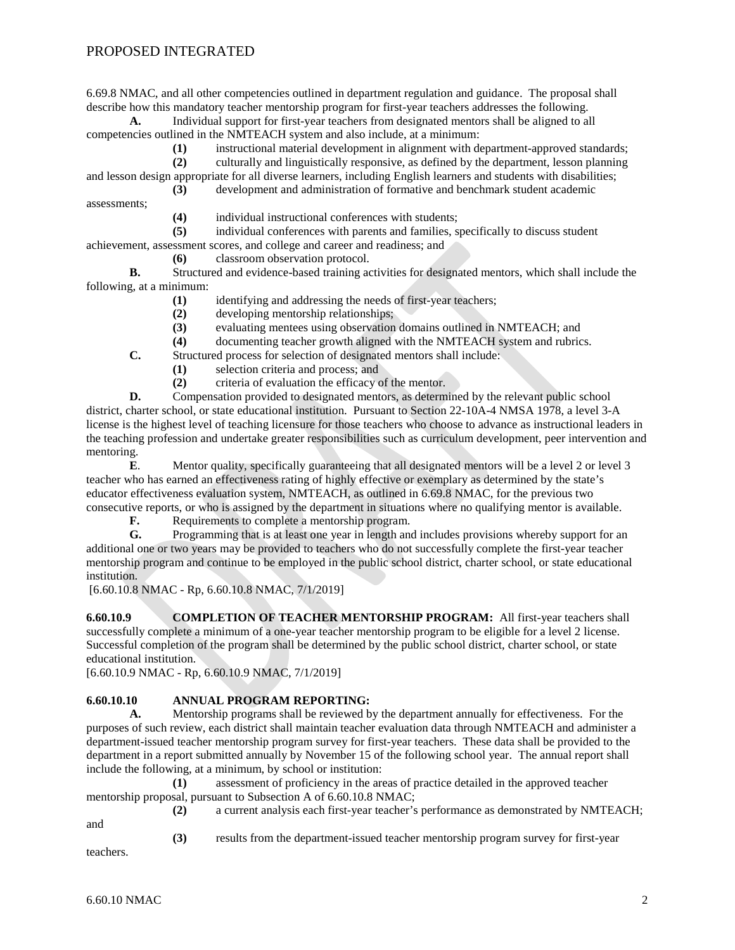# PROPOSED INTEGRATED

6.69.8 NMAC, and all other competencies outlined in department regulation and guidance. The proposal shall describe how this mandatory teacher mentorship program for first-year teachers addresses the following.

**A.** Individual support for first-year teachers from designated mentors shall be aligned to all competencies outlined in the NMTEACH system and also include, at a minimum:

**(1)** instructional material development in alignment with department-approved standards;

**(2)** culturally and linguistically responsive, as defined by the department, lesson planning and lesson design appropriate for all diverse learners, including English learners and students with disabilities; **(3)** development and administration of formative and benchmark student academic

assessments;

(4) individual instructional conferences with students;<br>(5) individual conferences with parents and families, sp

**(5)** individual conferences with parents and families, specifically to discuss student

achievement, assessment scores, and college and career and readiness; and

**(6)** classroom observation protocol.

**B.** Structured and evidence-based training activities for designated mentors, which shall include the following, at a minimum:

- **(1)** identifying and addressing the needs of first-year teachers;
- **(2)** developing mentorship relationships;
- **(3)** evaluating mentees using observation domains outlined in NMTEACH; and
- **(4)** documenting teacher growth aligned with the NMTEACH system and rubrics.
- **C.** Structured process for selection of designated mentors shall include:
	- **(1)** selection criteria and process; and
	- **(2)** criteria of evaluation the efficacy of the mentor.

**D.** Compensation provided to designated mentors, as determined by the relevant public school district, charter school, or state educational institution. Pursuant to Section 22-10A-4 NMSA 1978, a level 3-A license is the highest level of teaching licensure for those teachers who choose to advance as instructional leaders in the teaching profession and undertake greater responsibilities such as curriculum development, peer intervention and mentoring.

**E.** Mentor quality, specifically guaranteeing that all designated mentors will be a level 2 or level 3 teacher who has earned an effectiveness rating of highly effective or exemplary as determined by the state's educator effectiveness evaluation system, NMTEACH, as outlined in 6.69.8 NMAC, for the previous two consecutive reports, or who is assigned by the department in situations where no qualifying mentor is available.

**F.** Requirements to complete a mentorship program.

**G.** Programming that is at least one year in length and includes provisions whereby support for an additional one or two years may be provided to teachers who do not successfully complete the first-year teacher mentorship program and continue to be employed in the public school district, charter school, or state educational institution.

[6.60.10.8 NMAC - Rp, 6.60.10.8 NMAC, 7/1/2019]

**6.60.10.9 COMPLETION OF TEACHER MENTORSHIP PROGRAM:** All first-year teachers shall successfully complete a minimum of a one-year teacher mentorship program to be eligible for a level 2 license. Successful completion of the program shall be determined by the public school district, charter school, or state educational institution.

[6.60.10.9 NMAC - Rp, 6.60.10.9 NMAC, 7/1/2019]

#### **6.60.10.10 ANNUAL PROGRAM REPORTING:**

**A.** Mentorship programs shall be reviewed by the department annually for effectiveness. For the purposes of such review, each district shall maintain teacher evaluation data through NMTEACH and administer a department-issued teacher mentorship program survey for first-year teachers. These data shall be provided to the department in a report submitted annually by November 15 of the following school year. The annual report shall include the following, at a minimum, by school or institution:

**(1)** assessment of proficiency in the areas of practice detailed in the approved teacher mentorship proposal, pursuant to Subsection A of 6.60.10.8 NMAC;

and

**(2)** a current analysis each first-year teacher's performance as demonstrated by NMTEACH;

**(3)** results from the department-issued teacher mentorship program survey for first-year

teachers.